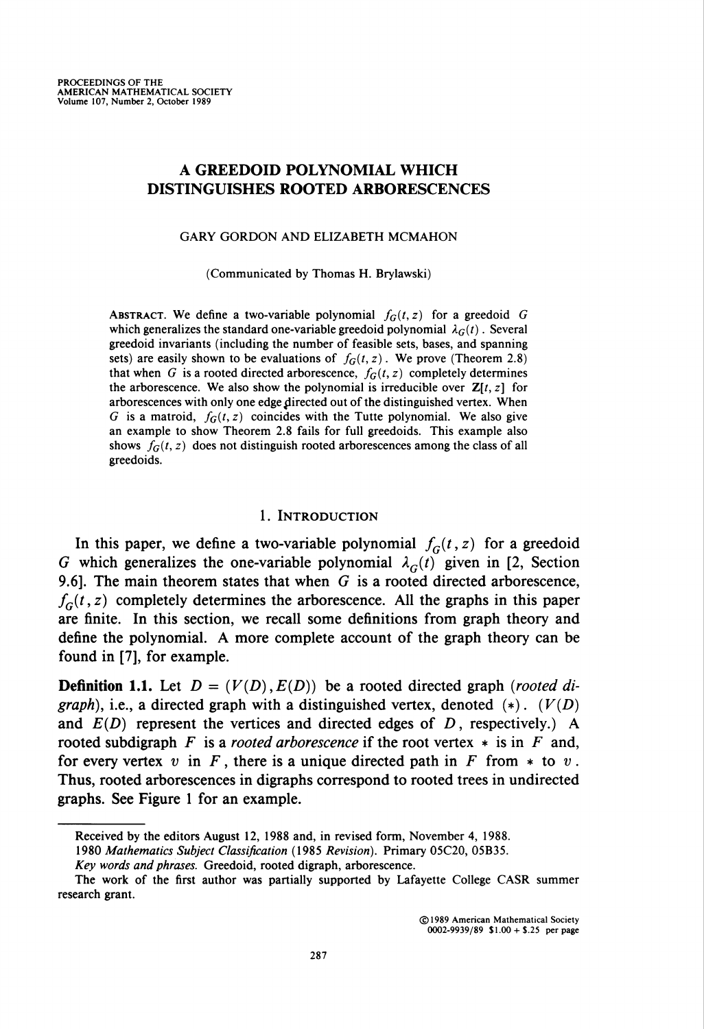# A GREEDOID POLYNOMIAL WHICH DISTINGUISHES ROOTED ARBORESCENCES

GARY GORDON AND ELIZABETH MCMAHON

(Communicated by Thomas H. Brylawski)

ABSTRACT. We define a two-variable polynomial  $f_G(t, z)$  for a greedoid G which generalizes the standard one-variable greedoid polynomial  $\lambda_G(t)$ . Several greedoid invariants (including the number of feasible sets, bases, and spanning sets) are easily shown to be evaluations of  $f_G(t, z)$ . We prove (Theorem 2.8) that when G is a rooted directed arborescence,  $f_G(t, z)$  completely determines the arborescence. We also show the polynomial is irreducible over  $\mathbb{Z}[t, z]$  for arborescences with only one edge directed out of the distinguished vertex. When G is a matroid,  $f_G(t, z)$  coincides with the Tutte polynomial. We also give an example to show Theorem 2.8 fails for full greedoids. This example also shows  $f_G(t, z)$  does not distinguish rooted arborescences among the class of all greedoids.

## 1. Introduction

In this paper, we define a two-variable polynomial  $f_G(t, z)$  for a greedoid G which generalizes the one-variable polynomial  $\lambda_G(t)$  given in [2, Section 9.6]. The main theorem states that when  $G$  is a rooted directed arborescence,  $f<sub>G</sub>(t, z)$  completely determines the arborescence. All the graphs in this paper are finite. In this section, we recall some definitions from graph theory and define the polynomial. A more complete account of the graph theory can be found in [7], for example.

**Definition 1.1.** Let  $D = (V(D), E(D))$  be a rooted directed graph (rooted digraph), i.e., a directed graph with a distinguished vertex, denoted  $(*)$ .  $(V(D))$ and  $E(D)$  represent the vertices and directed edges of D, respectively.) A rooted subdigraph F is a rooted arborescence if the root vertex  $*$  is in F and, for every vertex v in F, there is a unique directed path in F from  $*$  to v. Thus, rooted arborescences in digraphs correspond to rooted trees in undirected graphs. See Figure 1 for an example.

Received by the editors August 12, 1988 and, in revised form, November 4, 1988. 1980 Mathematics Subject Classification (1985 Revision). Primary 05C20, 05B35.

Key words and phrases. Greedoid, rooted digraph, arborescence.

The work of the first author was partially supported by Lafayette College CASR summer research grant.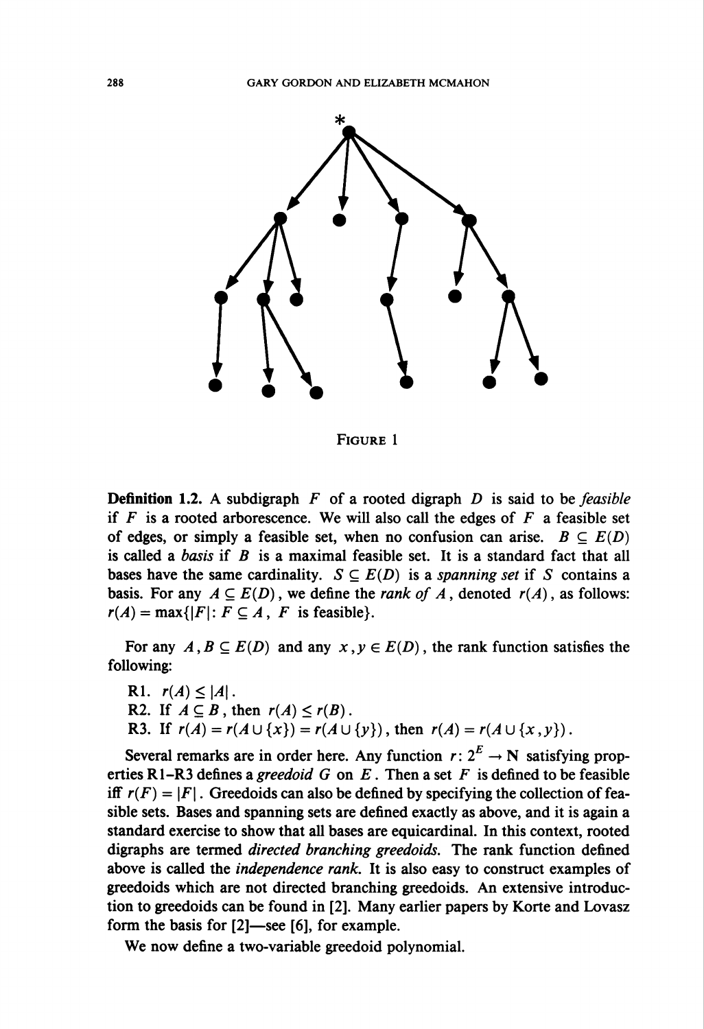

Figure 1

**Definition 1.2.** A subdigraph  $F$  of a rooted digraph  $D$  is said to be *feasible* if F is a rooted arborescence. We will also call the edges of  $F$  a feasible set of edges, or simply a feasible set, when no confusion can arise.  $B \subseteq E(D)$ is called a basis if  $B$  is a maximal feasible set. It is a standard fact that all bases have the same cardinality.  $S \subseteq E(D)$  is a spanning set if S contains a basis. For any  $A \subseteq E(D)$ , we define the *rank of A*, denoted  $r(A)$ , as follows:  $r(A) = \max\{|F|: F \subseteq A, F$  is feasible.

For any  $A, B \subseteq E(D)$  and any  $x, y \in E(D)$ , the rank function satisfies the following:

R1.  $r(A) \leq |A|$ . R2. If  $A \subseteq B$ , then  $r(A) \le r(B)$ . R3. If  $r(A) = r(A \cup \{x\}) = r(A \cup \{y\})$ , then  $r(A) = r(A \cup \{x, y\})$ .

Several remarks are in order here. Any function  $r: 2^E \rightarrow \mathbb{N}$  satisfying properties R1–R3 defines a greedoid G on E. Then a set F is defined to be feasible iff  $r(F) = |F|$ . Greedoids can also be defined by specifying the collection of feasible sets. Bases and spanning sets are defined exactly as above, and it is again a standard exercise to show that all bases are equicardinal. In this context, rooted digraphs are termed directed branching greedoids. The rank function defined above is called the independence rank. It is also easy to construct examples of greedoids which are not directed branching greedoids. An extensive introduction to greedoids can be found in [2]. Many earlier papers by Korte and Lovasz form the basis for [2]—see [6], for example.

We now define a two-variable greedoid polynomial.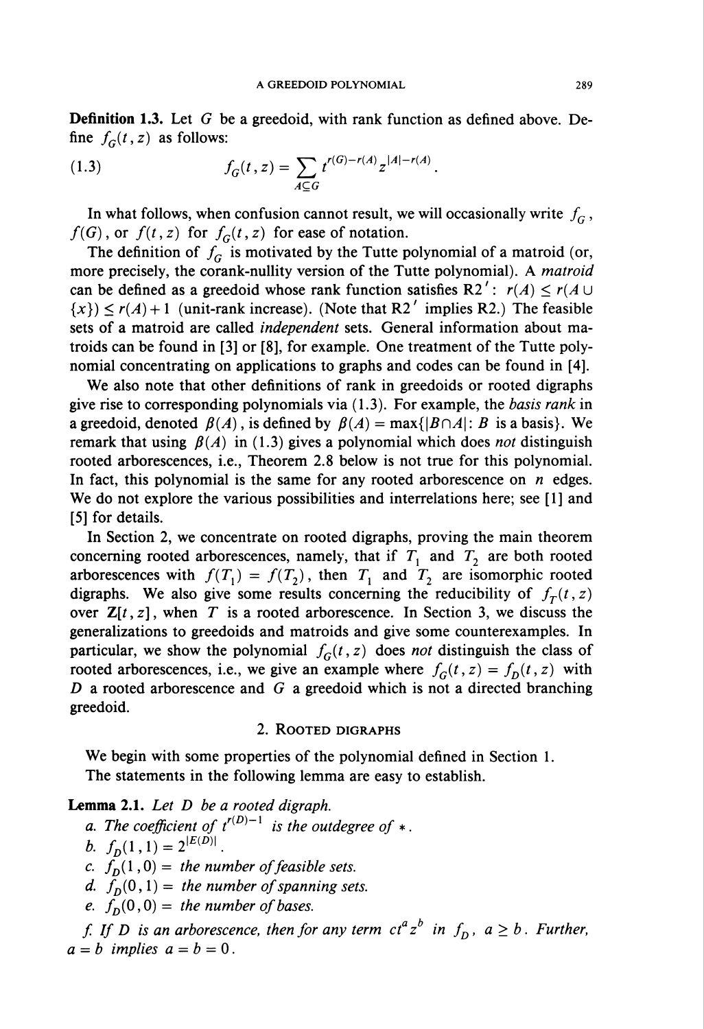Definition 1.3. Let G be a greedoid, with rank function as defined above. Define  $f_G(t, z)$  as follows:

(1.3) 
$$
f_G(t,z) = \sum_{A \subseteq G} t^{r(G)-r(A)} z^{|A|-r(A)}.
$$

In what follows, when confusion cannot result, we will occasionally write  $f_G$ ,  $f(G)$ , or  $f(t, z)$  for  $f<sub>G</sub>(t, z)$  for ease of notation.

The definition of  $f_G$  is motivated by the Tutte polynomial of a matroid (or, more precisely, the corank-nullity version of the Tutte polynomial). A matroid can be defined as a greedoid whose rank function satisfies R2':  $r(A) \le r(A \cup$  $\{x\} \leq r(A) + 1$  (unit-rank increase). (Note that R2' implies R2.) The feasible sets of a matroid are called independent sets. General information about matroids can be found in [3] or [8], for example. One treatment of the Tutte polynomial concentrating on applications to graphs and codes can be found in [4].

We also note that other definitions of rank in greedoids or rooted digraphs give rise to corresponding polynomials via  $(1.3)$ . For example, the *basis rank* in a greedoid, denoted  $\beta(A)$ , is defined by  $\beta(A) = \max\{|B \cap A| : B$  is a basis}. We remark that using  $\beta(A)$  in (1.3) gives a polynomial which does not distinguish rooted arborescences, i.e., Theorem 2.8 below is not true for this polynomial. In fact, this polynomial is the same for any rooted arborescence on  $n$  edges. We do not explore the various possibilities and interrelations here; see  $[1]$  and [5] for details.

In Section 2, we concentrate on rooted digraphs, proving the main theorem concerning rooted arborescences, namely, that if  $T_1$  and  $T_2$  are both rooted arborescences with  $f(T_1) = f(T_2)$ , then  $T_1$  and  $T_2$  are isomorphic rooted digraphs. We also give some results concerning the reducibility of  $f_T(t, z)$ over  $\mathbb{Z}[t, z]$ , when T is a rooted arborescence. In Section 3, we discuss the generalizations to greedoids and matroids and give some counterexamples. In particular, we show the polynomial  $f_G(t, z)$  does not distinguish the class of rooted arborescences, i.e., we give an example where  $f_G(t, z) = f_D(t, z)$  with D a rooted arborescence and  $G$  a greedoid which is not a directed branching greedoid.

## 2. Rooted digraphs

We begin with some properties of the polynomial defined in Section 1. The statements in the following lemma are easy to establish.

Lemma 2.1. Let D be a rooted digraph.

a. The coefficient of  $t^{r(D)-1}$  is the outdegree of  $*$ . b.  $f_D(1,1) = 2^{|E(D)|}$ . c.  $f_D(1, 0) =$  the number of feasible sets. d.  $f_D(0,1)$  = the number of spanning sets. e.  $f<sub>D</sub>(0,0)$  = the number of bases.

f. If D is an arborescence, then for any term  $ct^a z^b$  in  $f_D$ ,  $a \geq b$ . Further,  $a = b$  implies  $a = b = 0$ .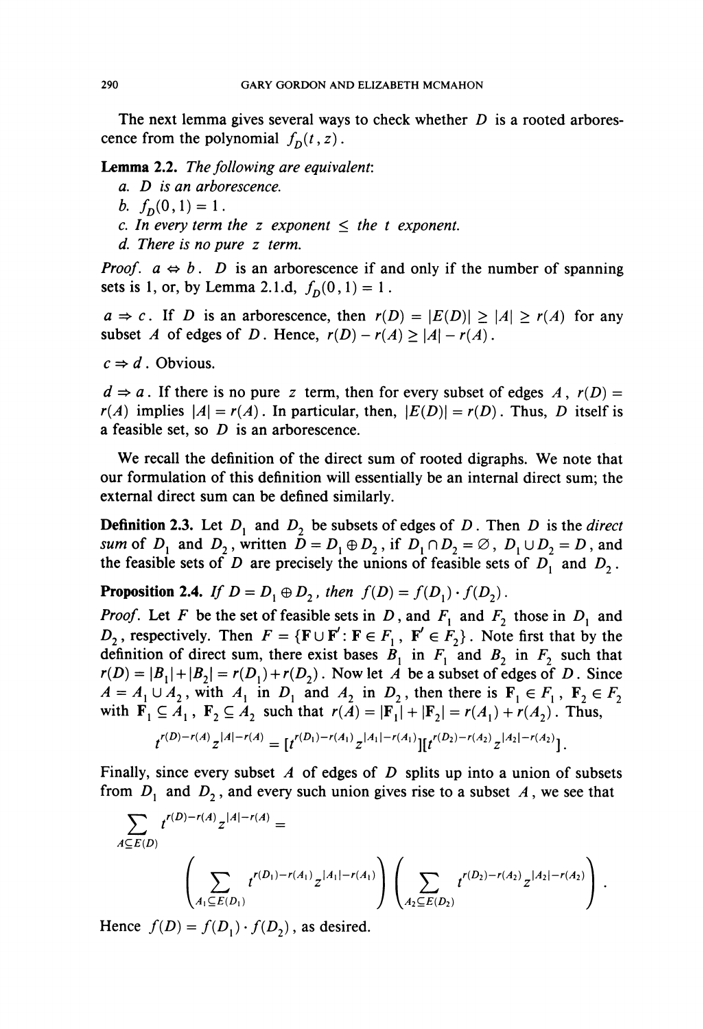The next lemma gives several ways to check whether  $D$  is a rooted arborescence from the polynomial  $f_D(t, z)$ .

Lemma 2.2. The following are equivalent:

- a. D is an arborescence.
- b.  $f_n(0,1) = 1$ .
- c. In every term the z exponent  $\leq$  the t exponent.
- d. There is no pure z term.

*Proof.*  $a \Leftrightarrow b$ . D is an arborescence if and only if the number of spanning sets is 1, or, by Lemma 2.1.d,  $f_D(0,1) = 1$ .

 $a \Rightarrow c$ . If D is an arborescence, then  $r(D) = |E(D)| \ge |A| \ge r(A)$  for any subset A of edges of D. Hence,  $r(D) - r(A) \ge |A| - r(A)$ .

 $c \Rightarrow d$ . Obvious.

 $d \Rightarrow a$ . If there is no pure z term, then for every subset of edges A,  $r(D) =$  $r(A)$  implies  $|A| = r(A)$ . In particular, then,  $|E(D)| = r(D)$ . Thus, D itself is a feasible set, so  $D$  is an arborescence.

We recall the definition of the direct sum of rooted digraphs. We note that our formulation of this definition will essentially be an internal direct sum; the external direct sum can be defined similarly.

**Definition 2.3.** Let  $D_1$  and  $D_2$  be subsets of edges of D. Then D is the direct sum of  $D_1$  and  $D_2$ , written  $D = D_1 \oplus D_2$ , if  $D_1 \cap D_2 = \emptyset$ ,  $D_1 \cup D_2 = D$ , and the feasible sets of D are precisely the unions of feasible sets of  $D_1$  and  $D_2$ .

**Proposition 2.4.** If  $D = D_1 \oplus D_2$ , then  $f(D) = f(D_1) \cdot f(D_2)$ .

*Proof.* Let F be the set of feasible sets in D, and  $F_1$  and  $F_2$  those in  $D_1$  and  $D_2$ , respectively. Then  $F = \{ \mathbf{F} \cup \mathbf{F}' : \mathbf{F} \in F_1, \mathbf{F}' \in F_2 \}$ . Note first that by the definition of direct sum, there exist bases  $B_1$  in  $F_1$  and  $B_2$  in  $F_2$  such that  $r(D) = |B_1| + |B_2| = r(D_1) + r(D_2)$ . Now let A be a subset of edges of D. Since  $A = A_1 \cup A_2$ , with  $A_1$  in  $D_1$  and  $A_2$  in  $D_2$ , then there is  $\mathbf{F}_1 \in F_1$ ,  $\mathbf{F}_2 \in F_2$ with  $\mathbf{F}_1 \subseteq A_1$ ,  $\mathbf{F}_2 \subseteq A_2$  such that  $r(A) = |\mathbf{F}_1| + |\mathbf{F}_2| = r(A_1) + r(A_2)$ . Thus,

$$
t^{r(D)-r(A)}z^{|A|-r(A)}=[t^{r(D_1)-r(A_1)}z^{|A_1|-r(A_1)}][t^{r(D_2)-r(A_2)}z^{|A_2|-r(A_2)}]
$$

Finally, since every subset A of edges of D splits up into a union of subsets from  $D_1$  and  $D_2$ , and every such union gives rise to a subset A, we see that

$$
\sum_{A \subseteq E(D)} t^{r(D) - r(A)} z^{|A| - r(A)} =
$$
\n
$$
\left( \sum_{A_1 \subseteq E(D_1)} t^{r(D_1) - r(A_1)} z^{|A_1| - r(A_1)} \right) \left( \sum_{A_2 \subseteq E(D_2)} t^{r(D_2) - r(A_2)} z^{|A_2| - r(A_2)} \right).
$$

Hence  $f(D) = f(D_1) \cdot f(D_2)$ , as desired.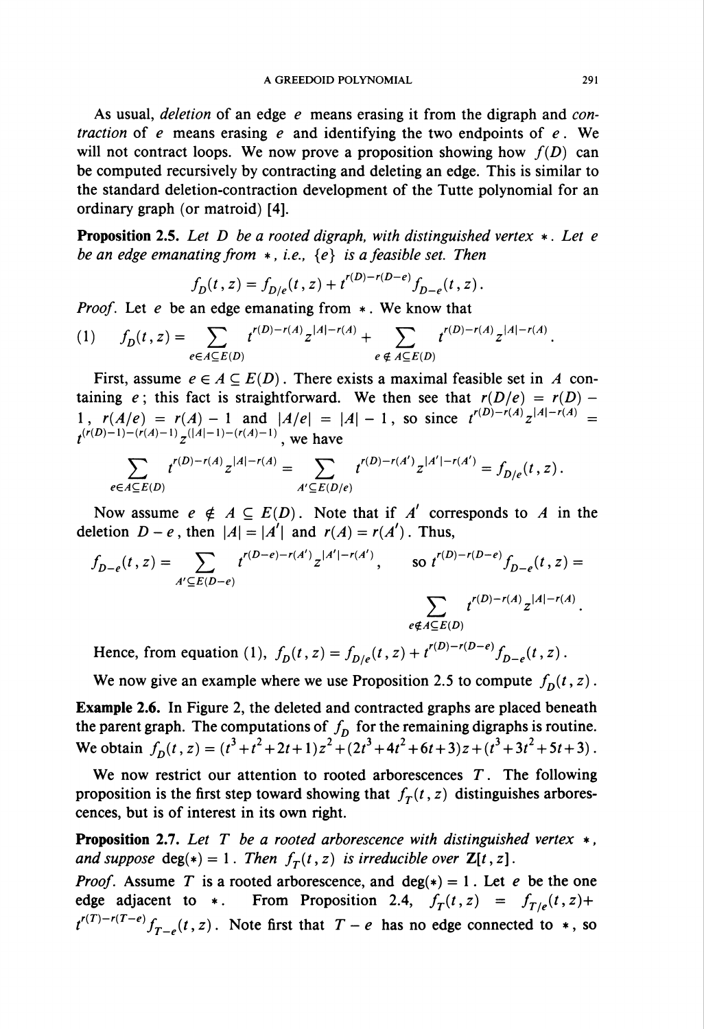As usual, deletion of an edge  $e$  means erasing it from the digraph and contraction of e means erasing e and identifying the two endpoints of  $e$ . We will not contract loops. We now prove a proposition showing how  $f(D)$  can be computed recursively by contracting and deleting an edge. This is similar to the standard deletion-contraction development of the Tutte polynomial for an ordinary graph (or matroid) [4].

**Proposition 2.5.** Let  $D$  be a rooted digraph, with distinguished vertex  $*$ . Let e be an edge emanating from  $*$ , i.e.,  $\{e\}$  is a feasible set. Then

$$
f_D(t,z) = f_{D/e}(t,z) + t^{r(D)-r(D-e)} f_{D-e}(t,z)
$$

*Proof.* Let e be an edge emanating from  $*$ . We know that

(1) 
$$
f_D(t,z) = \sum_{e \in A \subseteq E(D)} t^{r(D)-r(A)} z^{|A|-r(A)} + \sum_{e \notin A \subseteq E(D)} t^{r(D)-r(A)} z^{|A|-r(A)}.
$$

First, assume  $e \in A \subseteq E(D)$ . There exists a maximal feasible set in A containing e; this fact is straightforward. We then see that  $r(D/e) = r(D)$  -1,  $r(A/e) = r(A) - 1$  and  $|A/e| = |A| - 1$ , so since  $t^{(B)-\{(A\} - 1)}z^{(B)-\{(A\} - 1)} =$  $t^{(n(D)-1)-(n(A)-1)}z^{(|A|-1)-(n(A)-1)}$ 

$$
\sum_{e\in A\subseteq E(D)} t^{r(D)-r(A)}z^{|A|-r(A)}=\sum_{A'\subseteq E(D/e)} t^{r(D)-r(A')}z^{|A'|-r(A')}=f_{D/e}(t,z)\,.
$$

Now assume  $e \notin A \subseteq E(D)$ . Note that if A' corresponds to A in the deletion  $D - e$ , then  $\vert A\vert = \vert A'\vert$  and  $r(A) = r(A')$ . Thus,

$$
f_{D-e}(t, z) = \sum_{A' \subseteq E(D-e)} t^{r(D-e)-r(A')} z^{|A'|-r(A')}, \qquad \text{so } t^{r(D)-r(D-e)} f_{D-e}(t, z) =
$$
\n
$$
\sum_{e \notin A \subseteq E(D)} t^{r(D)-r(A)} z^{|A|-r(A)}.
$$
\nHence from equation (1)  $f(t, z) = f(t, z) + t^{r(D)-r(D-e)} f(t, z)$ 

Hence, from equation (1),  $J_D(t, z) = J_{D/e}(t, z) + t$ 

We now give an example where we use Proposition 2.5 to compute  $f_D(t, z)$ .

Example 2.6. In Figure 2, the deleted and contracted graphs are placed beneath the parent graph. The computations of  $f<sub>D</sub>$  for the remaining digraphs is routine. We obtain  $f_D(t, z) = (t^3 + t^2 + 2t + 1)z^2 + (2t^3 + 4t^2 + 6t + 3)z + (t^3 + 3t^2 + 5t + 3)$ 

We now restrict our attention to rooted arborescences  $T$ . The following proposition is the first step toward showing that  $f_T(t, z)$  distinguishes arborescences, but is of interest in its own right.

**Proposition 2.7.** Let T be a rooted arborescence with distinguished vertex  $*$ , and suppose  $deg(*) = 1$ . Then  $f<sub>T</sub>(t, z)$  is irreducible over  $\mathbb{Z}[t, z]$ .

*Proof.* Assume T is a rooted arborescence, and deg(\*) = 1. Let e be the one edge adjacent to \*. From Proposition 2.4,  $f_T(t, z) = f_{T/e}(t, z) +$  $t^{r(T)-r(T-e)}f_{T-e}(t ,z)$ . Note first that  $T - e$  has no edge connected to  $*$ , so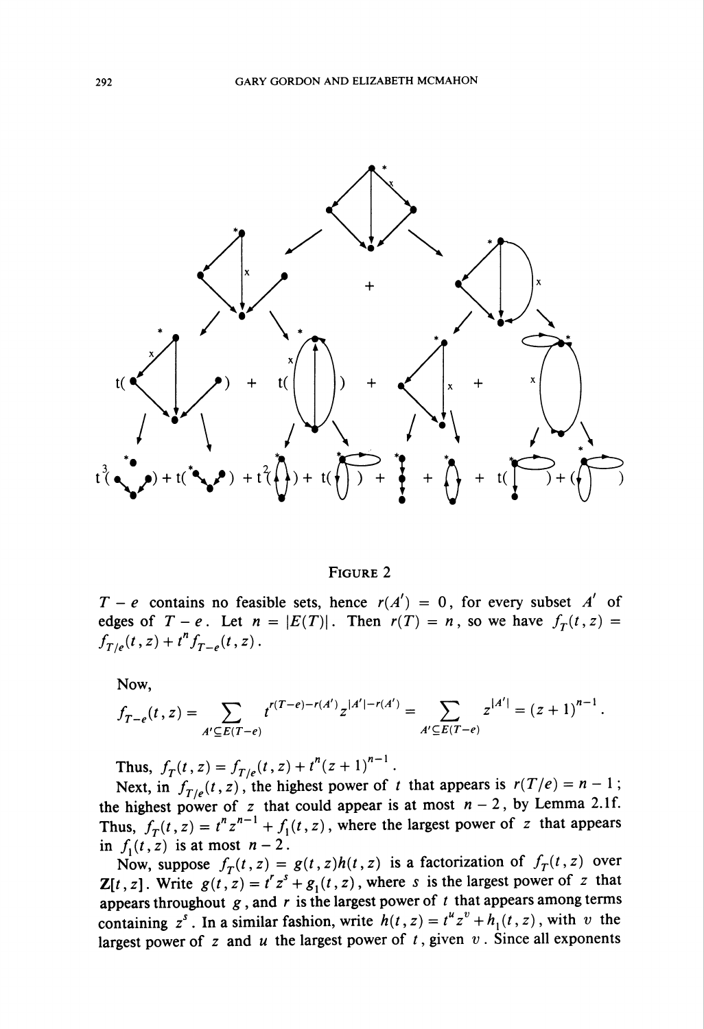

Figure 2

 $T - e$  contains no feasible sets, hence  $r(A') = 0$ , for every subset A' of edges of  $T - e$ . Let  $n = |E(T)|$ . Then  $r(T) = n$ , so we have  $f_T(t, z) =$  $f_{T/e}(t, z) + t^n f_{T-e}(t, z)$ .

Now,

$$
f_{T-e}(t,z) = \sum_{A' \subseteq E(T-e)} t^{r(T-e)-r(A')} z^{|A'|-r(A')} = \sum_{A' \subseteq E(T-e)} z^{|A'|} = (z+1)^{n-1}.
$$

Thus,  $f_T(t, z) = f_{T/e}(t, z) + t^n (z+1)^{n-1}$ .

Next, in  $f_{T/e}(t, z)$ , the highest power of t that appears is  $r(T/e) = n - 1$ ; the highest power of z that could appear is at most  $n-2$ , by Lemma 2.1f. Thus,  $f_T(t, z) = t^n z^{n-1} + f_1(t, z)$ , where the largest power of z that appears in  $f_1(t, z)$  is at most  $n-2$ .

Now, suppose  $f_T(t, z) = g(t, z)h(t, z)$  is a factorization of  $f_T(t, z)$  over **Z**[t, z]. Write  $g(t, z) = t^r z^s + g_1(t, z)$ , where s is the largest power of z that appears throughout  $g$ , and  $r$  is the largest power of  $t$  that appears among terms containing  $z^s$ . In a similar fashion, write  $h(t, z) = t^u z^v + h_1(t, z)$ , with v the largest power of z and u the largest power of t, given v. Since all exponents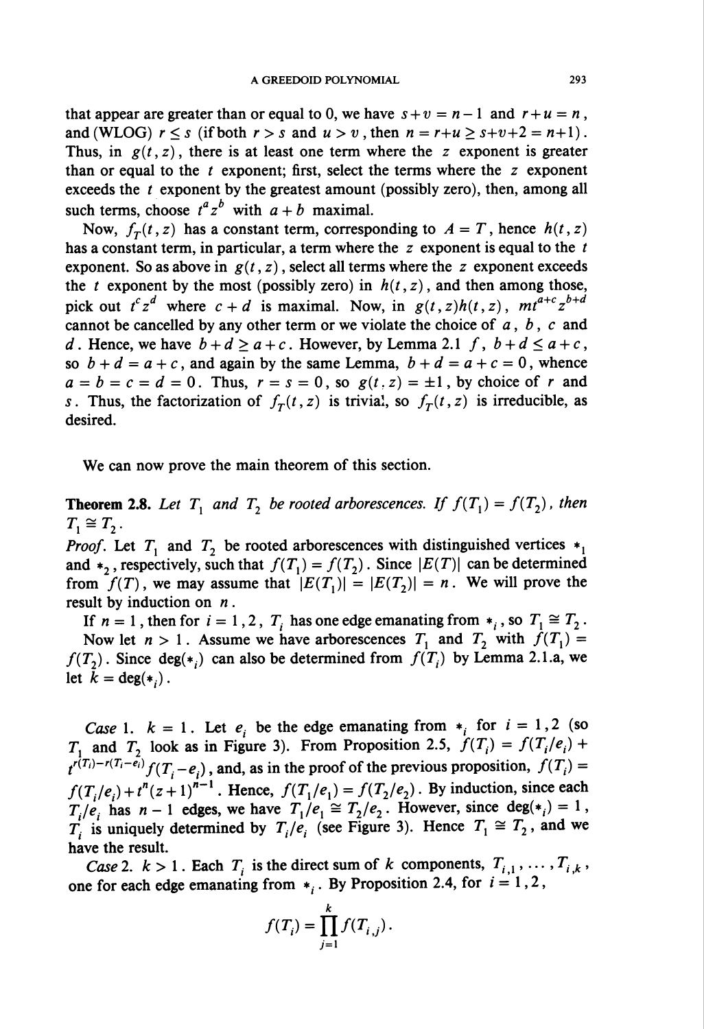that appear are greater than or equal to 0, we have  $s + v = n - 1$  and  $r + u = n$ , and (WLOG)  $r \leq s$  (if both  $r > s$  and  $u > v$ , then  $n = r + u \geq s + v + 2 = n + 1$ ). Thus, in  $g(t, z)$ , there is at least one term where the z exponent is greater than or equal to the  $t$  exponent; first, select the terms where the  $z$  exponent exceeds the  $t$  exponent by the greatest amount (possibly zero), then, among all such terms, choose  $t^a z^b$  with  $a + b$  maximal.

Now,  $f_T(t, z)$  has a constant term, corresponding to  $A = T$ , hence  $h(t, z)$ has a constant term, in particular, a term where the  $z$  exponent is equal to the  $t$ exponent. So as above in  $g(t, z)$ , select all terms where the z exponent exceeds the t exponent by the most (possibly zero) in  $h(t, z)$ , and then among those, pick out  $t^c z^d$  where  $c + d$  is maximal. Now, in  $g(t, z)h(t, z)$ ,  $mt^{a+c} z^{b+d}$ cannot be cancelled by any other term or we violate the choice of  $a, b, c$  and d. Hence, we have  $b + d \ge a + c$ . However, by Lemma 2.1 f,  $b + d \le a + c$ , so  $b + d = a + c$ , and again by the same Lemma,  $b + d = a + c = 0$ , whence  $a = b = c = d = 0$ . Thus,  $r = s = 0$ , so  $g(t, z) = \pm 1$ , by choice of r and s. Thus, the factorization of  $f_T(t, z)$  is trivial, so  $f_T(t, z)$  is irreducible, as desired.

We can now prove the main theorem of this section.

**Theorem 2.8.** Let  $T_1$  and  $T_2$  be rooted arborescences. If  $f(T_1) = f(T_2)$ , then  $T_1 \cong T_2$ .

*Proof.* Let  $T_1$  and  $T_2$  be rooted arborescences with distinguished vertices  $*_1$ and  $*_2$ , respectively, such that  $f(T_1) = f(T_2)$ . Since  $\vert E(T) \vert$  can be determined from  $f(T)$ , we may assume that  $\vert E(T_1)\vert = \vert E(T_2)\vert = n$ . We will prove the result by induction on  $n$ .

If  $n = 1$ , then for  $i = 1, 2, T<sub>i</sub>$  has one edge emanating from  $*_i$ , so  $T<sub>1</sub> \cong T<sub>2</sub>$ . Now let  $n > 1$ . Assume we have arborescences  $T_1$  and  $T_2$  with  $f(T_1) =$  $f(T_2)$ . Since deg(\*,) can also be determined from  $f(T_i)$  by Lemma 2.1.a, we let  $k = \deg(*_i)$ .

Case 1.  $k = 1$ . Let  $e_i$  be the edge emanating from  $*_i$  for  $i = 1,2$  (so  $T_1$  and  $T_2$  look as in Figure 3). From Proposition 2.5,  $f(T_i) = f(T_i/e_i) +$  $t^{r(T_i)-r(T_i-e_i)}f(T_i-e_i)$ , and, as in the proof of the previous proposition,  $f(T_i)$  $f(T_i/e_i) + t^n(z+1)^{n-1}$ . Hence,  $f(T_i/e_1) = f(T_2/e_2)$ . By induction, since each  $T_i/e_i$  has  $n-1$  edges, we have  $T_1/e_1 \cong T_2/e_2$ . However, since  $deg(*) = 1$ ,  $T_i$  is uniquely determined by  $T_i/e_i$  (see Figure 3). Hence  $T_1 \cong T_2$ , and we have the result.

Case 2.  $k>1$ . Each  $T_i$  is the direct sum of k components,  $T_{i,1},\ldots,T_{i,k}$ , one for each edge emanating from  $*$ ,. By Proposition 2.4, for  $i = 1, 2$ ,

$$
f(T_i) = \prod_{j=1}^k f(T_{i,j}).
$$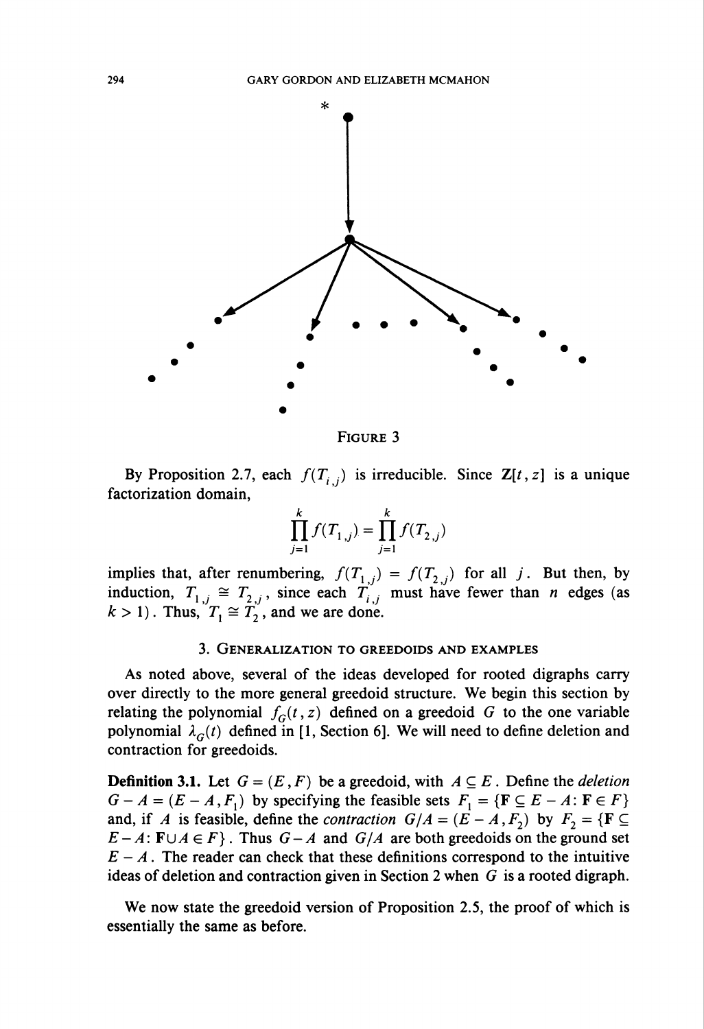

Figure 3

By Proposition 2.7, each  $f(T_{i,j})$  is irreducible. Since  $\mathbb{Z}[t, z]$  is a unique factorization domain,

$$
\prod_{j=1}^k f(T_{1,j}) = \prod_{j=1}^k f(T_{2,j})
$$

implies that, after renumbering,  $f(T_{1,j}) = f(T_{2,j})$  for all j. But then, by induction,  $T_{1,i} \cong T_{2,i}$ , since each  $T_{i,i}$  must have fewer than *n* edges (as  $k > 1$ . Thus,  $T_1 \cong T_2$ , and we are done.

#### 3. Generalization to greedoids and examples

As noted above, several of the ideas developed for rooted digraphs carry over directly to the more general greedoid structure. We begin this section by relating the polynomial  $f_G(t, z)$  defined on a greedoid G to the one variable polynomial  $\lambda_G(t)$  defined in [1, Section 6]. We will need to define deletion and contraction for greedoids.

**Definition 3.1.** Let  $G = (E, F)$  be a greedoid, with  $A \subseteq E$ . Define the *deletion*  $G - A = (E - A, F<sub>1</sub>)$  by specifying the feasible sets  $F<sub>1</sub> = {F \subseteq E - A : F \in F}$ and, if A is feasible, define the *contraction*  $G/A = (E - A, F_2)$  by  $F_2 = \{F \subseteq$  $E-A: \mathbf{F} \cup A \in F$ . Thus  $G-A$  and  $G/A$  are both greedoids on the ground set  $E - A$ . The reader can check that these definitions correspond to the intuitive ideas of deletion and contraction given in Section 2 when  $G$  is a rooted digraph.

We now state the greedoid version of Proposition 2.5, the proof of which is essentially the same as before.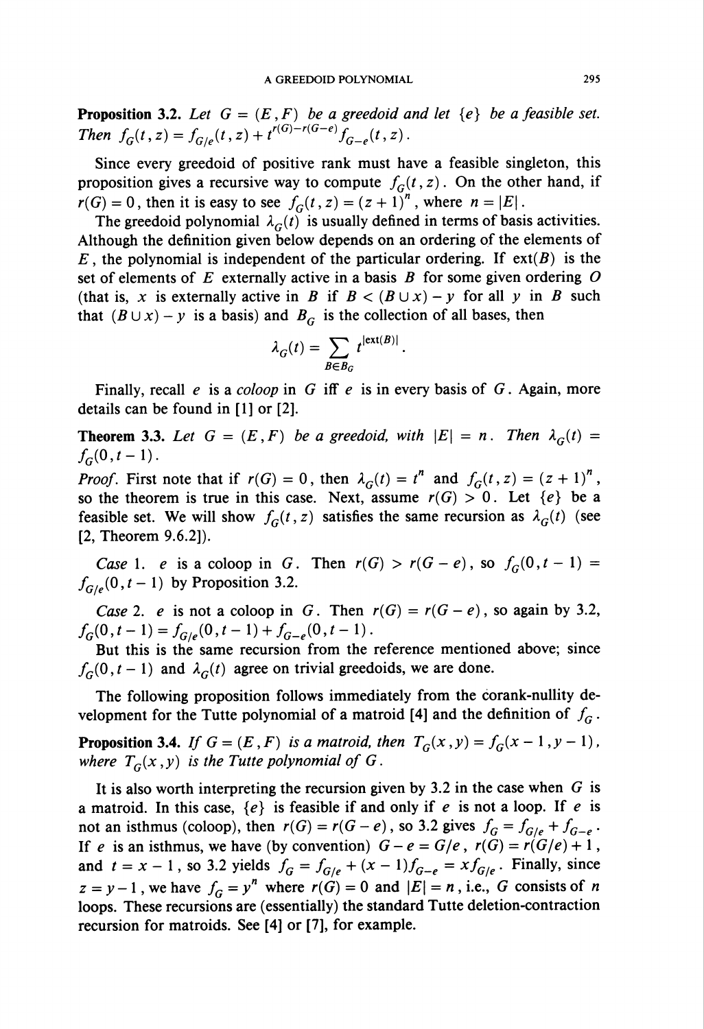**Proposition 3.2.** Let  $G = (E, F)$  be a greedoid and let  $\{e\}$  be a feasible set. Then  $f_G(t, z) = f_{G/e}(t, z) + t^{r(G)-r(G-e)} f_{G-e}(t, z)$ .

Since every greedoid of positive rank must have a feasible singleton, this proposition gives a recursive way to compute  $f<sub>G</sub>(t, z)$ . On the other hand, if  $r(G) = 0$ , then it is easy to see  $f_G(t, z) = (z + 1)^n$ , where  $n = |E|$ .

The greedoid polynomial  $\lambda_G(t)$  is usually defined in terms of basis activities. Although the definition given below depends on an ordering of the elements of  $E$ , the polynomial is independent of the particular ordering. If  $ext(B)$  is the set of elements of  $E$  externally active in a basis  $B$  for some given ordering  $O$ (that is, x is externally active in B if  $B < (B \cup x) - y$  for all y in B such that  $(B \cup x) - y$  is a basis) and  $B_G$  is the collection of all bases, then

$$
\lambda_G(t) = \sum_{B \in B_G} t^{|ext(B)|}.
$$

Finally, recall e is a coloop in G iff  $e$  is in every basis of  $G$ . Again, more details can be found in [1] or [2].

**Theorem 3.3.** Let  $G = (E, F)$  be a greedoid, with  $|E| = n$ . Then  $\lambda_G(t) =$  $f_G(0,t-1)$ .

*Proof.* First note that if  $r(G) = 0$ , then  $\lambda_G(t) = t^n$  and  $f_G(t, z) = (z + 1)^n$ , so the theorem is true in this case. Next, assume  $r(G) > 0$ . Let  $\{e\}$  be a feasible set. We will show  $f_G(t, z)$  satisfies the same recursion as  $\lambda_G(t)$  (see [2, Theorem 9.6.2]).

Case 1. e is a coloop in G. Then  $r(G) > r(G - e)$ , so  $f_G(0, t - 1) =$  $f_{G/e}(0, t-1)$  by Proposition 3.2.

Case 2. e is not a coloop in G. Then  $r(G) = r(G - e)$ , so again by 3.2,  $f_G(0,t-1) = f_{G/e}(0,t-1) + f_{G-e}(0,t-1).$ 

But this is the same recursion from the reference mentioned above; since  $f_G(0,t-1)$  and  $\lambda_G(t)$  agree on trivial greedoids, we are done.

The following proposition follows immediately from the corank-nullity development for the Tutte polynomial of a matroid [4] and the definition of  $f_G$ .

**Proposition 3.4.** If  $G = (E, F)$  is a matroid, then  $T_G(x, y) = f_G(x - 1, y - 1)$ , where  $T_G(x, y)$  is the Tutte polynomial of G.

It is also worth interpreting the recursion given by 3.2 in the case when  $G$  is a matroid. In this case,  $\{e\}$  is feasible if and only if e is not a loop. If e is not an isthmus (coloop), then  $r(G) = r(G - e)$ , so 3.2 gives  $f_G = f_{G/e} + f_{G-e}$ . If e is an isthmus, we have (by convention)  $G-e = G/e$ ,  $r(G) = r(G/e) + 1$ , and  $t = x - 1$ , so 3.2 yields  $f_G = f_{G/e} + (x - 1)f_{G-e} = x f_{G/e}$ . Finally, since  $z = y - 1$ , we have  $f_G = y^n$  where  $r(G) = 0$  and  $|E| = n$ , i.e., G consists of n loops. These recursions are (essentially) the standard Tutte deletion-contraction recursion for matroids. See [4] or [7], for example.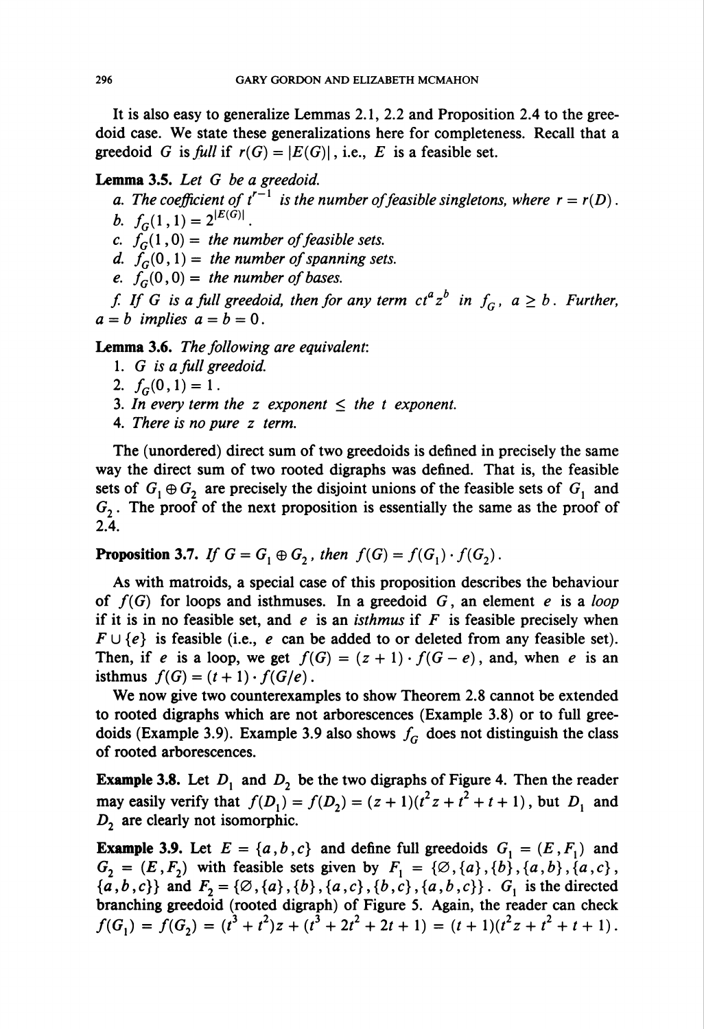It is also easy to generalize Lemmas 2.1, 2.2 and Proposition 2.4 to the greedoid case. We state these generalizations here for completeness. Recall that a greedoid G is full if  $r(G) = |E(G)|$ , i.e., E is a feasible set.

## Lemma 3.5. Let G be a greedoid.

a. The coefficient of  $t^{r-1}$  is the number of feasible singletons, where  $r = r(D)$ . b.  $f_c(1,1) = 2^{|E(\tilde{G})|}$ .

c.  $f_{G}^{(1)}(1,0) =$  the number of feasible sets.

d.  $f_G(0,1) =$  the number of spanning sets.

e.  $f_G(0,0) =$  the number of bases.

f. If G is a full greedoid, then for any term  $ct^a z^b$  in  $f_G$ ,  $a \geq b$ . Further,  $a = b$  implies  $a = b = 0$ .

Lemma 3.6. The following are equivalent:

- 1. G is a full greedoid.
- 2.  $f_G(0,1)=1$ .
- 3. In every term the z exponent  $\leq$  the t exponent.
- 4. There is no pure z term.

The (unordered) direct sum of two greedoids is defined in precisely the same way the direct sum of two rooted digraphs was defined. That is, the feasible sets of  $G_1 \oplus G_2$  are precisely the disjoint unions of the feasible sets of  $G_1$  and  $G<sub>2</sub>$ . The proof of the next proposition is essentially the same as the proof of 2.4.

**Proposition 3.7.** If  $G = G_1 \oplus G_2$ , then  $f(G) = f(G_1) \cdot f(G_2)$ .

As with matroids, a special case of this proposition describes the behaviour of  $f(G)$  for loops and isthmuses. In a greedoid G, an element e is a loop if it is in no feasible set, and e is an *isthmus* if  $F$  is feasible precisely when  $F \cup \{e\}$  is feasible (i.e., e can be added to or deleted from any feasible set). Then, if e is a loop, we get  $f(G) = (z + 1) \cdot f(G - e)$ , and, when e is an isthmus  $f(G) = (t + 1) \cdot f(G/e)$ .

We now give two counterexamples to show Theorem 2.8 cannot be extended to rooted digraphs which are not arborescences (Example 3.8) or to full greedoids (Example 3.9). Example 3.9 also shows  $f_G$  does not distinguish the class of rooted arborescences.

**Example 3.8.** Let  $D_1$  and  $D_2$  be the two digraphs of Figure 4. Then the reader may easily verify that  $f(D_1) = f(D_2) = (z + 1)(t^2z + t^2 + t + 1)$ , but  $D_1$  and  $D<sub>2</sub>$  are clearly not isomorphic.

**Example 3.9.** Let  $E = \{a, b, c\}$  and define full greedoids  $G_i = (E, F_i)$  and  $G_2 = (E, F_2)$  with feasible sets given by  $F_1 = {\emptyset, {a}, {b}, {a, b}, {a, c}$ ,  $\{a,b,c\}$  and  $F_2 = \{\emptyset, \{a\},\{b\},\{a,c\},\{b,c\},\{a,b,c\}\}\$ .  $G_1$  is the directed branching greedoid (rooted digraph) of Figure 5. Again, the reader can check  $f(G_1) = f(G_2) = (t^3 + t^2)z + (t^3 + 2t^2 + 2t + 1) = (t + 1)(t^2z + t^2 + t + 1).$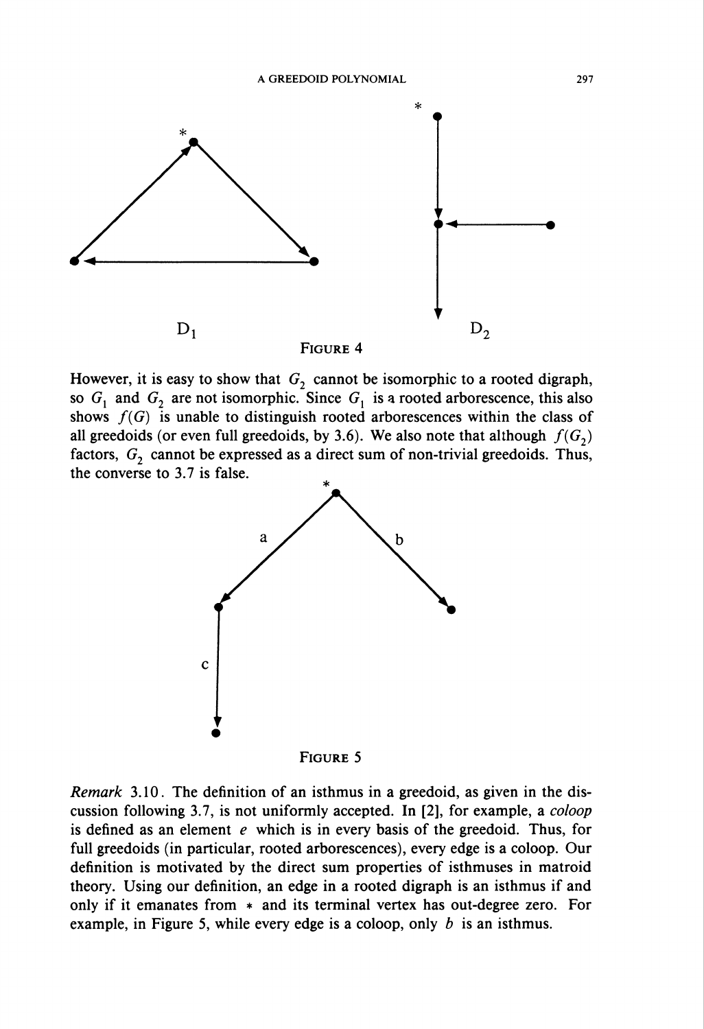

However, it is easy to show that  $G_2$  cannot be isomorphic to a rooted digraph, so  $G_1$  and  $G_2$  are not isomorphic. Since  $G_1$  is a rooted arborescence, this also shows  $f(G)$  is unable to distinguish rooted arborescences within the class of all greedoids (or even full greedoids, by 3.6). We also note that although  $f(G<sub>2</sub>)$ factors,  $G_2$  cannot be expressed as a direct sum of non-trivial greedoids. Thus, the converse to 3.7 is false.



Remark 3.10. The definition of an isthmus in a greedoid, as given in the discussion following 3.7, is not uniformly accepted. In [2], for example, a coloop is defined as an element  $e$  which is in every basis of the greedoid. Thus, for full greedoids (in particular, rooted arborescences), every edge is a coloop. Our definition is motivated by the direct sum properties of isthmuses in matroid theory. Using our definition, an edge in a rooted digraph is an isthmus if and only if it emanates from \* and its terminal vertex has out-degree zero. For example, in Figure 5, while every edge is a coloop, only  $b$  is an isthmus.